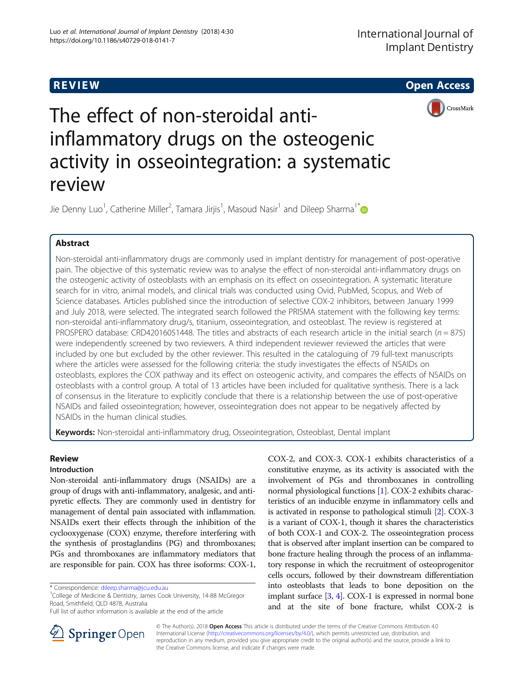

# The effect of non-steroidal antiinflammatory drugs on the osteogenic activity in osseointegration: a systematic review

Jie Denny Luo<sup>1</sup>, Catherine Miller<sup>2</sup>, Tamara Jirjis<sup>1</sup>, Masoud Nasir<sup>1</sup> and Dileep Sharma<sup>1\*</sup>

Non-steroidal anti-inflammatory drugs are commonly used in implant dentistry for management of post-operative pain. The objective of this systematic review was to analyse the effect of non-steroidal anti-inflammatory drugs on the osteogenic activity of osteoblasts with an emphasis on its effect on osseointegration. A systematic literature search for in vitro, animal models, and clinical trials was conducted using Ovid, PubMed, Scopus, and Web of Science databases. Articles published since the introduction of selective COX-2 inhibitors, between January 1999 and July 2018, were selected. The integrated search followed the PRISMA statement with the following key terms: non-steroidal anti-inflammatory drug/s, titanium, osseointegration, and osteoblast. The review is registered at PROSPERO database: CRD42016051448. The titles and abstracts of each research article in the initial search ( $n = 875$ ) were independently screened by two reviewers. A third independent reviewer reviewed the articles that were included by one but excluded by the other reviewer. This resulted in the cataloguing of 79 full-text manuscripts where the articles were assessed for the following criteria: the study investigates the effects of NSAIDs on osteoblasts, explores the COX pathway and its effect on osteogenic activity, and compares the effects of NSAIDs on osteoblasts with a control group. A total of 13 articles have been included for qualitative synthesis. There is a lack of consensus in the literature to explicitly conclude that there is a relationship between the use of post-operative NSAIDs and failed osseointegration; however, osseointegration does not appear to be negatively affected by NSAIDs in the human clinical studies.

Keywords: Non-steroidal anti-inflammatory drug, Osseointegration, Osteoblast, Dental implant

#### **Review**

# Introduction

Non-steroidal anti-inflammatory drugs (NSAIDs) are a group of drugs with anti-inflammatory, analgesic, and antipyretic effects. They are commonly used in dentistry for management of dental pain associated with inflammation. NSAIDs exert their effects through the inhibition of the cyclooxygenase (COX) enzyme, therefore interfering with the synthesis of prostaglandins (PG) and thromboxanes; PGs and thromboxanes are inflammatory mediators that are responsible for pain. COX has three isoforms: COX-1,

<sup>1</sup>College of Medicine & Dentistry, James Cook University, 14-88 McGregor Road, Smithfield, QLD 4878, Australia

COX-2, and COX-3. COX-1 exhibits characteristics of a constitutive enzyme, as its activity is associated with the involvement of PGs and thromboxanes in controlling normal physiological functions [\[1\]](#page-10-0). COX-2 exhibits characteristics of an inducible enzyme in inflammatory cells and is activated in response to pathological stimuli [[2\]](#page-10-0). COX-3 is a variant of COX-1, though it shares the characteristics of both COX-1 and COX-2. The osseointegration process that is observed after implant insertion can be compared to bone fracture healing through the process of an inflammatory response in which the recruitment of osteoprogenitor cells occurs, followed by their downstream differentiation into osteoblasts that leads to bone deposition on the implant surface [\[3,](#page-10-0) [4\]](#page-10-0). COX-1 is expressed in normal bone and at the site of bone fracture, whilst COX-2 is



© The Author(s). 2018 Open Access This article is distributed under the terms of the Creative Commons Attribution 4.0 International License ([http://creativecommons.org/licenses/by/4.0/\)](http://creativecommons.org/licenses/by/4.0/), which permits unrestricted use, distribution, and reproduction in any medium, provided you give appropriate credit to the original author(s) and the source, provide a link to the Creative Commons license, and indicate if changes were made.

<sup>\*</sup> Correspondence: [dileep.sharma@jcu.edu.au](mailto:dileep.sharma@jcu.edu.au) <sup>1</sup>

Full list of author information is available at the end of the article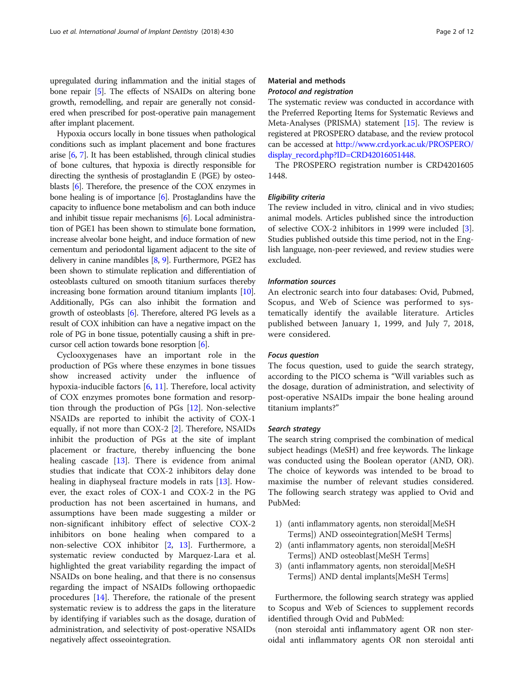<span id="page-1-0"></span>upregulated during inflammation and the initial stages of bone repair [[5](#page-10-0)]. The effects of NSAIDs on altering bone growth, remodelling, and repair are generally not considered when prescribed for post-operative pain management after implant placement.

Hypoxia occurs locally in bone tissues when pathological conditions such as implant placement and bone fractures arise [[6](#page-10-0), [7](#page-10-0)]. It has been established, through clinical studies of bone cultures, that hypoxia is directly responsible for directing the synthesis of prostaglandin E (PGE) by osteoblasts [\[6\]](#page-10-0). Therefore, the presence of the COX enzymes in bone healing is of importance [\[6\]](#page-10-0). Prostaglandins have the capacity to influence bone metabolism and can both induce and inhibit tissue repair mechanisms [\[6](#page-10-0)]. Local administration of PGE1 has been shown to stimulate bone formation, increase alveolar bone height, and induce formation of new cementum and periodontal ligament adjacent to the site of delivery in canine mandibles [[8](#page-10-0), [9](#page-10-0)]. Furthermore, PGE2 has been shown to stimulate replication and differentiation of osteoblasts cultured on smooth titanium surfaces thereby increasing bone formation around titanium implants [\[10](#page-10-0)]. Additionally, PGs can also inhibit the formation and growth of osteoblasts [[6](#page-10-0)]. Therefore, altered PG levels as a result of COX inhibition can have a negative impact on the role of PG in bone tissue, potentially causing a shift in precursor cell action towards bone resorption [\[6\]](#page-10-0).

Cyclooxygenases have an important role in the production of PGs where these enzymes in bone tissues show increased activity under the influence of hypoxia-inducible factors [\[6,](#page-10-0) [11\]](#page-10-0). Therefore, local activity of COX enzymes promotes bone formation and resorption through the production of PGs [[12](#page-10-0)]. Non-selective NSAIDs are reported to inhibit the activity of COX-1 equally, if not more than COX-2 [[2\]](#page-10-0). Therefore, NSAIDs inhibit the production of PGs at the site of implant placement or fracture, thereby influencing the bone healing cascade [\[13](#page-10-0)]. There is evidence from animal studies that indicate that COX-2 inhibitors delay done healing in diaphyseal fracture models in rats [[13\]](#page-10-0). However, the exact roles of COX-1 and COX-2 in the PG production has not been ascertained in humans, and assumptions have been made suggesting a milder or non-significant inhibitory effect of selective COX-2 inhibitors on bone healing when compared to a non-selective COX inhibitor [[2,](#page-10-0) [13](#page-10-0)]. Furthermore, a systematic review conducted by Marquez-Lara et al. highlighted the great variability regarding the impact of NSAIDs on bone healing, and that there is no consensus regarding the impact of NSAIDs following orthopaedic procedures [\[14\]](#page-10-0). Therefore, the rationale of the present systematic review is to address the gaps in the literature by identifying if variables such as the dosage, duration of administration, and selectivity of post-operative NSAIDs negatively affect osseointegration.

### Material and methods Protocol and registration

The systematic review was conducted in accordance with the Preferred Reporting Items for Systematic Reviews and Meta-Analyses (PRISMA) statement [\[15\]](#page-10-0). The review is registered at PROSPERO database, and the review protocol can be accessed at [http://www.crd.york.ac.uk/PROSPERO/](http://www.crd.york.ac.uk/PROSPERO/display_record.php?ID=CRD42016051448) [display\\_record.php?ID=CRD42016051448](http://www.crd.york.ac.uk/PROSPERO/display_record.php?ID=CRD42016051448).

The PROSPERO registration number is CRD4201605 1448.

#### Eligibility criteria

The review included in vitro, clinical and in vivo studies; animal models. Articles published since the introduction of selective COX-2 inhibitors in 1999 were included [[3](#page-10-0)]. Studies published outside this time period, not in the English language, non-peer reviewed, and review studies were excluded.

#### Information sources

An electronic search into four databases: Ovid, Pubmed, Scopus, and Web of Science was performed to systematically identify the available literature. Articles published between January 1, 1999, and July 7, 2018, were considered.

#### Focus question

The focus question, used to guide the search strategy, according to the PICO schema is "Will variables such as the dosage, duration of administration, and selectivity of post-operative NSAIDs impair the bone healing around titanium implants?"

#### Search strategy

The search string comprised the combination of medical subject headings (MeSH) and free keywords. The linkage was conducted using the Boolean operator (AND, OR). The choice of keywords was intended to be broad to maximise the number of relevant studies considered. The following search strategy was applied to Ovid and PubMed:

- 1) (anti inflammatory agents, non steroidal[MeSH Terms]) AND osseointegration[MeSH Terms]
- 2) (anti inflammatory agents, non steroidal[MeSH Terms]) AND osteoblast[MeSH Terms]
- 3) (anti inflammatory agents, non steroidal[MeSH Terms]) AND dental implants[MeSH Terms]

Furthermore, the following search strategy was applied to Scopus and Web of Sciences to supplement records identified through Ovid and PubMed:

(non steroidal anti inflammatory agent OR non steroidal anti inflammatory agents OR non steroidal anti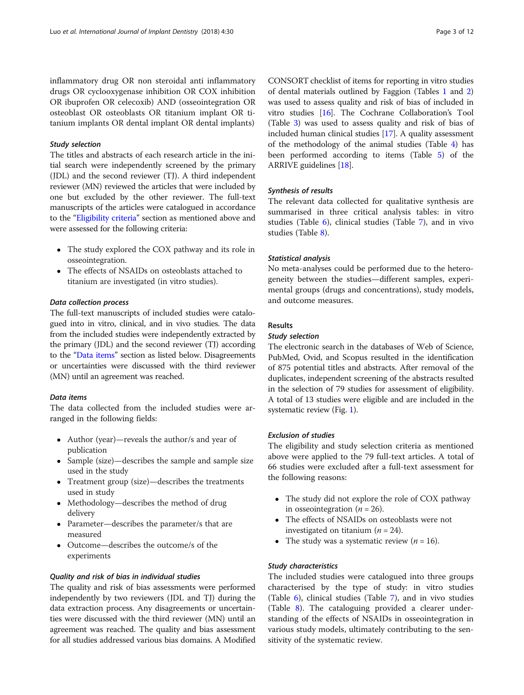inflammatory drug OR non steroidal anti inflammatory drugs OR cyclooxygenase inhibition OR COX inhibition OR ibuprofen OR celecoxib) AND (osseointegration OR osteoblast OR osteoblasts OR titanium implant OR titanium implants OR dental implant OR dental implants)

### Study selection

The titles and abstracts of each research article in the initial search were independently screened by the primary (JDL) and the second reviewer (TJ). A third independent reviewer (MN) reviewed the articles that were included by one but excluded by the other reviewer. The full-text manuscripts of the articles were catalogued in accordance to the "[Eligibility criteria](#page-1-0)" section as mentioned above and were assessed for the following criteria:

- The study explored the COX pathway and its role in osseointegration.
- The effects of NSAIDs on osteoblasts attached to titanium are investigated (in vitro studies).

#### Data collection process

The full-text manuscripts of included studies were catalogued into in vitro, clinical, and in vivo studies. The data from the included studies were independently extracted by the primary (JDL) and the second reviewer (TJ) according to the "Data items" section as listed below. Disagreements or uncertainties were discussed with the third reviewer (MN) until an agreement was reached.

### Data items

The data collected from the included studies were arranged in the following fields:

- Author (year)—reveals the author/s and year of publication
- Sample (size)—describes the sample and sample size used in the study
- Treatment group (size)—describes the treatments used in study
- Methodology—describes the method of drug delivery
- Parameter—describes the parameter/s that are measured
- Outcome—describes the outcome/s of the experiments

#### Quality and risk of bias in individual studies

The quality and risk of bias assessments were performed independently by two reviewers (JDL and TJ) during the data extraction process. Any disagreements or uncertainties were discussed with the third reviewer (MN) until an agreement was reached. The quality and bias assessment for all studies addressed various bias domains. A Modified

CONSORT checklist of items for reporting in vitro studies of dental materials outlined by Faggion (Tables [1](#page-3-0) and [2](#page-3-0)) was used to assess quality and risk of bias of included in vitro studies [\[16\]](#page-10-0). The Cochrane Collaboration's Tool (Table [3\)](#page-4-0) was used to assess quality and risk of bias of included human clinical studies [\[17\]](#page-10-0). A quality assessment of the methodology of the animal studies (Table [4\)](#page-4-0) has been performed according to items (Table [5](#page-5-0)) of the ARRIVE guidelines [\[18\]](#page-10-0).

#### Synthesis of results

The relevant data collected for qualitative synthesis are summarised in three critical analysis tables: in vitro studies (Table [6\)](#page-5-0), clinical studies (Table [7\)](#page-6-0), and in vivo studies (Table [8](#page-7-0)).

#### Statistical analysis

No meta-analyses could be performed due to the heterogeneity between the studies—different samples, experimental groups (drugs and concentrations), study models, and outcome measures.

#### Results

#### Study selection

The electronic search in the databases of Web of Science, PubMed, Ovid, and Scopus resulted in the identification of 875 potential titles and abstracts. After removal of the duplicates, independent screening of the abstracts resulted in the selection of 79 studies for assessment of eligibility. A total of 13 studies were eligible and are included in the systematic review (Fig. [1](#page-9-0)).

#### Exclusion of studies

The eligibility and study selection criteria as mentioned above were applied to the 79 full-text articles. A total of 66 studies were excluded after a full-text assessment for the following reasons:

- The study did not explore the role of COX pathway in osseointegration ( $n = 26$ ).
- The effects of NSAIDs on osteoblasts were not investigated on titanium  $(n = 24)$ .
- The study was a systematic review ( $n = 16$ ).

#### Study characteristics

The included studies were catalogued into three groups characterised by the type of study: in vitro studies (Table [6](#page-5-0)), clinical studies (Table [7\)](#page-6-0), and in vivo studies (Table [8\)](#page-7-0). The cataloguing provided a clearer understanding of the effects of NSAIDs in osseointegration in various study models, ultimately contributing to the sensitivity of the systematic review.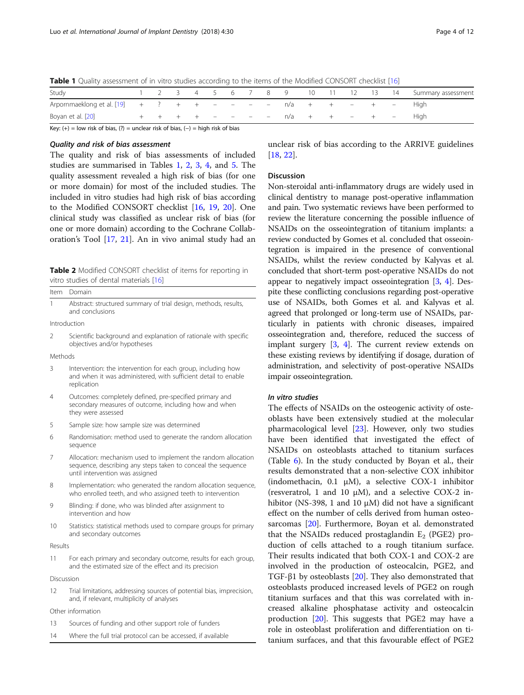<span id="page-3-0"></span>Table 1 Quality assessment of in vitro studies according to the items of the Modified CONSORT checklist [[16](#page-10-0)]

| Study                                                                     |  |  |  |  |                               |  |  | 1 2 3 4 5 6 7 8 9 10 11 12 13 14 Summary assessment |
|---------------------------------------------------------------------------|--|--|--|--|-------------------------------|--|--|-----------------------------------------------------|
| Arpornmaeklong et al. [19] $+$ ? $+$ $+$ $     n/a$ $+$ $+$ $ +$ $-$ High |  |  |  |  |                               |  |  |                                                     |
| Boyan et al. [20]                                                         |  |  |  |  | + + + + - - - - n/a + + - + - |  |  | <b>High</b>                                         |

Key:  $(+)$  = low risk of bias,  $(?)$  = unclear risk of bias,  $(-)$  = high risk of bias

#### Quality and risk of bias assessment

The quality and risk of bias assessments of included studies are summarised in Tables 1, 2, [3](#page-4-0), [4](#page-4-0), and [5](#page-5-0). The quality assessment revealed a high risk of bias (for one or more domain) for most of the included studies. The included in vitro studies had high risk of bias according to the Modified CONSORT checklist [\[16,](#page-10-0) [19](#page-10-0), [20](#page-11-0)]. One clinical study was classified as unclear risk of bias (for one or more domain) according to the Cochrane Collaboration's Tool [\[17,](#page-10-0) [21\]](#page-11-0). An in vivo animal study had an

Table 2 Modified CONSORT checklist of items for reporting in vitro studies of dental materials [\[16\]](#page-10-0)

| $\mathbf{1}$   | Abstract: structured summary of trial design, methods, results,<br>and conclusions                                                                               |
|----------------|------------------------------------------------------------------------------------------------------------------------------------------------------------------|
|                | Introduction                                                                                                                                                     |
| $\overline{2}$ | Scientific background and explanation of rationale with specific<br>objectives and/or hypotheses                                                                 |
| Methods        |                                                                                                                                                                  |
| 3              | Intervention: the intervention for each group, including how<br>and when it was administered, with sufficient detail to enable<br>replication                    |
| 4              | Outcomes: completely defined, pre-specified primary and<br>secondary measures of outcome, including how and when<br>they were assessed                           |
| 5              | Sample size: how sample size was determined                                                                                                                      |
| 6              | Randomisation: method used to generate the random allocation<br>sequence                                                                                         |
| 7              | Allocation: mechanism used to implement the random allocation<br>sequence, describing any steps taken to conceal the sequence<br>until intervention was assigned |
| 8              | Implementation: who generated the random allocation sequence,<br>who enrolled teeth, and who assigned teeth to intervention                                      |
| 9              | Blinding: if done, who was blinded after assignment to<br>intervention and how                                                                                   |
| 10             | Statistics: statistical methods used to compare groups for primary<br>and secondary outcomes                                                                     |
| Results        |                                                                                                                                                                  |
| 11             | For each primary and secondary outcome, results for each group,<br>and the estimated size of the effect and its precision                                        |

Discussion

Item Domain

12 Trial limitations, addressing sources of potential bias, imprecision, and, if relevant, multiplicity of analyses

Other information

- 13 Sources of funding and other support role of funders
- 14 Where the full trial protocol can be accessed, if available

unclear risk of bias according to the ARRIVE guidelines [[18,](#page-10-0) [22\]](#page-11-0).

#### Discussion

Non-steroidal anti-inflammatory drugs are widely used in clinical dentistry to manage post-operative inflammation and pain. Two systematic reviews have been performed to review the literature concerning the possible influence of NSAIDs on the osseointegration of titanium implants: a review conducted by Gomes et al. concluded that osseointegration is impaired in the presence of conventional NSAIDs, whilst the review conducted by Kalyvas et al. concluded that short-term post-operative NSAIDs do not appear to negatively impact osseointegration [\[3,](#page-10-0) [4\]](#page-10-0). Despite these conflicting conclusions regarding post-operative of NSAIDs, both Gomes et al. and Kalyvas et al. eed that prolonged or long-term use of NSAIDs, parllarly in patients with chronic diseases, impaired eointegration and, therefore, reduced the success of blant surgery  $[3, 4]$  $[3, 4]$  $[3, 4]$  $[3, 4]$ . The current review extends on se existing reviews by identifying if dosage, duration of ninistration, and selectivity of post-operative NSAIDs bair osseointegration.

#### itro studies

e effects of NSAIDs on the osteogenic activity of osteasts have been extensively studied at the molecular rmacological level [[23\]](#page-11-0). However, only two studies e been identified that investigated the effect of AIDs on osteoblasts attached to titanium surfaces ble  $6$ ). In the study conducted by Boyan et al., their alts demonstrated that a non-selective COX inhibitor (indomethacin, 0.1 μM), a selective COX-1 inhibitor (weratrol, 1 and 10  $\mu$ M), and a selective COX-2 intor (NS-398, 1 and 10  $\mu$ M) did not have a significant et on the number of cells derived from human osteo-comas [\[20\]](#page-11-0). Furthermore, Boyan et al. demonstrated the NSAIDs reduced prostaglandin  $E_2$  (PGE2) protion of cells attached to a rough titanium surface. eir results indicated that both COX-1 and COX-2 are involved in the production of osteocalcin, PGE2, and TGF-β1 by osteoblasts  $[20]$  $[20]$ . They also demonstrated that osteoblasts produced increased levels of PGE2 on rough titanium surfaces and that this was correlated with increased alkaline phosphatase activity and osteocalcin production [\[20\]](#page-11-0). This suggests that PGE2 may have a role in osteoblast proliferation and differentiation on titanium surfaces, and that this favourable effect of PGE2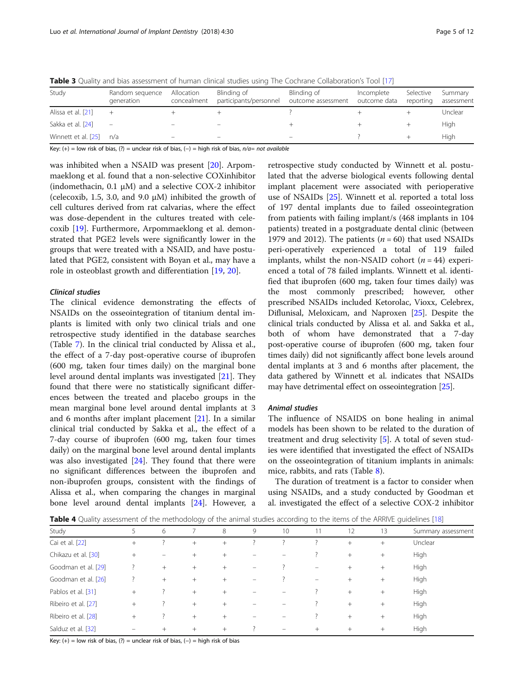| Study                   | Random sequence<br>generation | Allocation<br>concealment | Blinding of<br>participants/personnel | Blinding of<br>outcome assessment | Incomplete<br>outcome data | Selective<br>reporting | Summary<br>assessment |
|-------------------------|-------------------------------|---------------------------|---------------------------------------|-----------------------------------|----------------------------|------------------------|-----------------------|
| Alissa et al. [21]      |                               |                           |                                       |                                   |                            |                        | Unclear               |
| Sakka et al. [24]       | $\sim$                        |                           |                                       |                                   |                            |                        | High                  |
| Winnett et al. [25] n/a |                               |                           |                                       | $\overline{\phantom{0}}$          |                            |                        | High                  |

<span id="page-4-0"></span>Table 3 Quality and bias assessment of human clinical studies using The Cochrane Collaboration's Tool [\[17\]](#page-10-0)

Key: (+) = low risk of bias, (?) = unclear risk of bias, (-) = high risk of bias,  $n/a = not available$ 

was inhibited when a NSAID was present [[20\]](#page-11-0). Arpommaeklong et al. found that a non-selective COXinhibitor (indomethacin, 0.1 μM) and a selective COX-2 inhibitor (celecoxib, 1.5, 3.0, and 9.0 μM) inhibited the growth of cell cultures derived from rat calvarias, where the effect was dose-dependent in the cultures treated with celecoxib [\[19](#page-10-0)]. Furthermore, Arpommaeklong et al. demonstrated that PGE2 levels were significantly lower in the groups that were treated with a NSAID, and have postulated that PGE2, consistent with Boyan et al., may have a role in osteoblast growth and differentiation [[19](#page-10-0), [20](#page-11-0)].

#### Clinical studies

The clinical evidence demonstrating the effects of NSAIDs on the osseointegration of titanium dental implants is limited with only two clinical trials and one retrospective study identified in the database searches (Table [7\)](#page-6-0). In the clinical trial conducted by Alissa et al., the effect of a 7-day post-operative course of ibuprofen (600 mg, taken four times daily) on the marginal bone level around dental implants was investigated [\[21](#page-11-0)]. They found that there were no statistically significant differences between the treated and placebo groups in the mean marginal bone level around dental implants at 3 and 6 months after implant placement [[21\]](#page-11-0). In a similar clinical trial conducted by Sakka et al., the effect of a 7-day course of ibuprofen (600 mg, taken four times daily) on the marginal bone level around dental implants was also investigated [\[24](#page-11-0)]. They found that there were no significant differences between the ibuprofen and non-ibuprofen groups, consistent with the findings of Alissa et al., when comparing the changes in marginal bone level around dental implants [\[24\]](#page-11-0). However, a

retrospective study conducted by Winnett et al. postulated that the adverse biological events following dental implant placement were associated with perioperative use of NSAIDs [\[25\]](#page-11-0). Winnett et al. reported a total loss of 197 dental implants due to failed osseointegration from patients with failing implant/s (468 implants in 104 patients) treated in a postgraduate dental clinic (between 1979 and 2012). The patients  $(n = 60)$  that used NSAIDs peri-operatively experienced a total of 119 failed implants, whilst the non-NSAID cohort  $(n = 44)$  experienced a total of 78 failed implants. Winnett et al. identified that ibuprofen (600 mg, taken four times daily) was the most commonly prescribed; however, other prescribed NSAIDs included Ketorolac, Vioxx, Celebrex, Diflunisal, Meloxicam, and Naproxen [\[25](#page-11-0)]. Despite the clinical trials conducted by Alissa et al. and Sakka et al., both of whom have demonstrated that a 7-day post-operative course of ibuprofen (600 mg, taken four times daily) did not significantly affect bone levels around dental implants at 3 and 6 months after placement, the data gathered by Winnett et al. indicates that NSAIDs may have detrimental effect on osseointegration [\[25\]](#page-11-0).

#### Animal studies

The influence of NSAIDS on bone healing in animal models has been shown to be related to the duration of treatment and drug selectivity [[5\]](#page-10-0). A total of seven studies were identified that investigated the effect of NSAIDs on the osseointegration of titanium implants in animals: mice, rabbits, and rats (Table [8\)](#page-7-0).

The duration of treatment is a factor to consider when using NSAIDs, and a study conducted by Goodman et al. investigated the effect of a selective COX-2 inhibitor

| $\overline{\phantom{a}}$ |        |        | $\tilde{\phantom{a}}$ |        |                          |                   |                          |        | $\tilde{\phantom{a}}$ |                    |
|--------------------------|--------|--------|-----------------------|--------|--------------------------|-------------------|--------------------------|--------|-----------------------|--------------------|
| Study                    |        | 6      |                       | 8      | 9                        | 10                | 11                       | 12     | 13                    | Summary assessment |
| Cai et al. [22]          | $^{+}$ |        | $^{+}$                | $^{+}$ |                          |                   |                          | $^{+}$ | $^{+}$                | Unclear            |
| Chikazu et al. [30]      | $^{+}$ |        | $^{+}$                | $^{+}$ |                          |                   |                          | $^{+}$ | $+$                   | High               |
| Goodman et al. [29]      |        | $+$    | $^{+}$                | $+$    |                          |                   |                          | $+$    | $^{+}$                | High               |
| Goodman et al. [26]      |        | $+$    | $+$                   | $^{+}$ | $\overline{\phantom{0}}$ |                   | $\overline{\phantom{0}}$ | $+$    | $+$                   | High               |
| Pablos et al. [31]       | $^{+}$ |        | $+$                   | $^{+}$ |                          |                   |                          | $+$    | $^{+}$                | High               |
| Ribeiro et al. [27]      | $^{+}$ |        | $+$                   | $^{+}$ |                          | -                 |                          | $^{+}$ | $+$                   | High               |
| Ribeiro et al. [28]      | $^{+}$ |        | $^{+}$                | $^{+}$ | $\overline{\phantom{0}}$ | $\qquad \qquad =$ |                          | $+$    | $+$                   | High               |
| Salduz et al. [32]       |        | $^{+}$ | $^{+}$                | $^{+}$ |                          |                   | $^{+}$                   | $^{+}$ | $+$                   | High               |

Table 4 Quality assessment of the methodology of the animal studies according to the items of the ARRIVE guidelines [[18](#page-10-0)]

Key:  $(+)$  = low risk of bias,  $(?)$  = unclear risk of bias,  $(-)$  = high risk of bias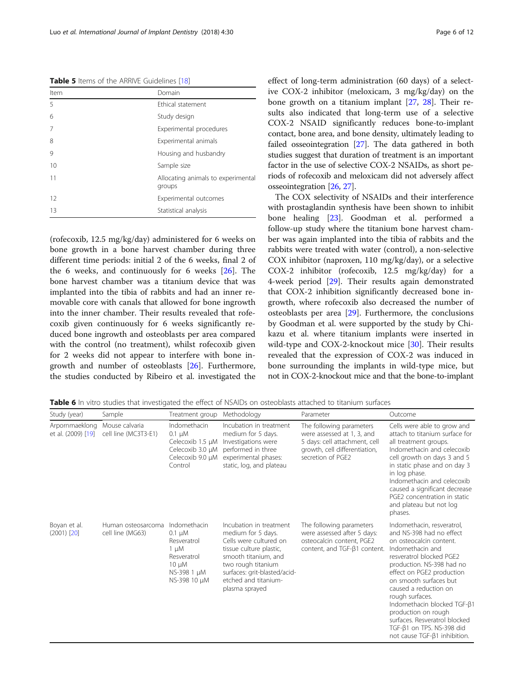<span id="page-5-0"></span>Table 5 Items of the ARRIVE Guidelines [\[18](#page-10-0)]

| Item | Domain                                       |
|------|----------------------------------------------|
| 5    | <b>Fthical statement</b>                     |
| 6    | Study design                                 |
|      | Experimental procedures                      |
| 8    | Experimental animals                         |
| 9    | Housing and husbandry                        |
| 10   | Sample size                                  |
| 11   | Allocating animals to experimental<br>groups |
| 12   | Experimental outcomes                        |
| 13   | Statistical analysis                         |

(rofecoxib, 12.5 mg/kg/day) administered for 6 weeks on bone growth in a bone harvest chamber during three different time periods: initial 2 of the 6 weeks, final 2 of the 6 weeks, and continuously for 6 weeks [\[26\]](#page-11-0). The bone harvest chamber was a titanium device that was implanted into the tibia of rabbits and had an inner removable core with canals that allowed for bone ingrowth into the inner chamber. Their results revealed that rofecoxib given continuously for 6 weeks significantly reduced bone ingrowth and osteoblasts per area compared with the control (no treatment), whilst rofecoxib given for 2 weeks did not appear to interfere with bone ingrowth and number of osteoblasts [[26\]](#page-11-0). Furthermore, the studies conducted by Ribeiro et al. investigated the effect of long-term administration (60 days) of a selective COX-2 inhibitor (meloxicam, 3 mg/kg/day) on the bone growth on a titanium implant [\[27](#page-11-0), [28](#page-11-0)]. Their results also indicated that long-term use of a selective COX-2 NSAID significantly reduces bone-to-implant contact, bone area, and bone density, ultimately leading to failed osseointegration [[27](#page-11-0)]. The data gathered in both studies suggest that duration of treatment is an important factor in the use of selective COX-2 NSAIDs, as short periods of rofecoxib and meloxicam did not adversely affect osseointegration [[26](#page-11-0), [27\]](#page-11-0).

The COX selectivity of NSAIDs and their interference with prostaglandin synthesis have been shown to inhibit bone healing [[23\]](#page-11-0). Goodman et al. performed a follow-up study where the titanium bone harvest chamber was again implanted into the tibia of rabbits and the rabbits were treated with water (control), a non-selective COX inhibitor (naproxen, 110 mg/kg/day), or a selective COX-2 inhibitor (rofecoxib, 12.5 mg/kg/day) for a 4-week period [\[29](#page-11-0)]. Their results again demonstrated that COX-2 inhibition significantly decreased bone ingrowth, where rofecoxib also decreased the number of osteoblasts per area [[29](#page-11-0)]. Furthermore, the conclusions by Goodman et al. were supported by the study by Chikazu et al. where titanium implants were inserted in wild-type and COX-2-knockout mice [[30\]](#page-11-0). Their results revealed that the expression of COX-2 was induced in bone surrounding the implants in wild-type mice, but not in COX-2-knockout mice and that the bone-to-implant

Table 6 In vitro studies that investigated the effect of NSAIDs on osteoblasts attached to titanium surfaces

| Study (year)                         | Sample                                 | Treatment group                                                                                                     | Methodology                                                                                                                                                                                                                | Parameter                                                                                                                                     | Outcome                                                                                                                                                                                                                                                                                                                                                                                                                       |
|--------------------------------------|----------------------------------------|---------------------------------------------------------------------------------------------------------------------|----------------------------------------------------------------------------------------------------------------------------------------------------------------------------------------------------------------------------|-----------------------------------------------------------------------------------------------------------------------------------------------|-------------------------------------------------------------------------------------------------------------------------------------------------------------------------------------------------------------------------------------------------------------------------------------------------------------------------------------------------------------------------------------------------------------------------------|
| Arpornmaeklong<br>et al. (2009) [19] | Mouse calvaria<br>cell line (MC3T3-E1) | Indomethacin<br>$0.1 \mu M$<br>Celecoxib 1.5 µM<br>Celecoxib 3.0 µM<br>Celecoxib 9.0 µM<br>Control                  | Incubation in treatment<br>medium for 5 days.<br>Investigations were<br>performed in three<br>experimental phases:<br>static, log, and plateau                                                                             | The following parameters<br>were assessed at 1, 3, and<br>5 days: cell attachment, cell<br>growth, cell differentiation,<br>secretion of PGE2 | Cells were able to grow and<br>attach to titanium surface for<br>all treatment groups.<br>Indomethacin and celecoxib<br>cell growth on days 3 and 5<br>in static phase and on day 3<br>in log phase.<br>Indomethacin and celecoxib<br>caused a significant decrease<br>PGF2 concentration in static<br>and plateau but not log<br>phases.                                                                                     |
| Boyan et al.<br>$(2001)$ $[20]$      | Human osteosarcoma<br>cell line (MG63) | Indomethacin<br>$0.1 \mu M$<br>Resveratrol<br>$1 \mu M$<br>Resveratrol<br>$10 \mu M$<br>NS-398 1 µM<br>NS-398 10 µM | Incubation in treatment<br>medium for 5 days.<br>Cells were cultured on<br>tissue culture plastic,<br>smooth titanium, and<br>two rough titanium<br>surfaces: grit-blasted/acid-<br>etched and titanium-<br>plasma sprayed | The following parameters<br>were assessed after 5 days:<br>osteocalcin content. PGE2<br>content, and $TGF-\beta1 content.$                    | Indomethacin, resveratrol,<br>and NS-398 had no effect<br>on osteocalcin content.<br>Indomethacin and<br>resveratrol blocked PGE2<br>production. NS-398 had no<br>effect on PGE2 production<br>on smooth surfaces but<br>caused a reduction on<br>rough surfaces.<br>Indomethacin blocked TGF-β1<br>production on rough<br>surfaces. Resveratrol blocked<br>TGF- $\beta$ 1 on TPS. NS-398 did<br>not cause TGF-β1 inhibition. |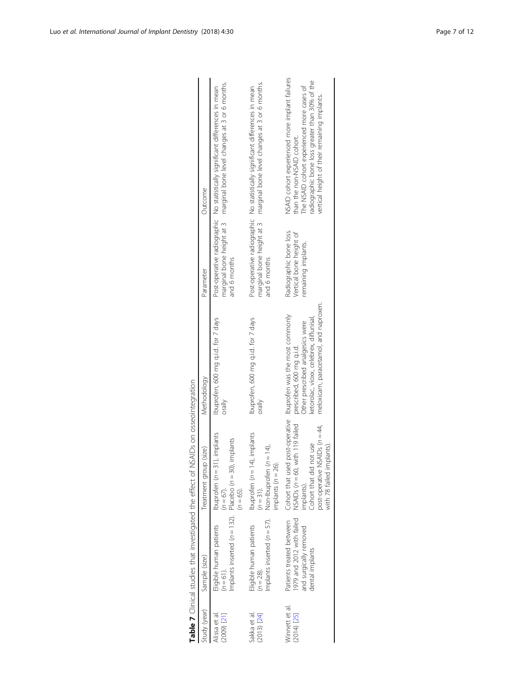<span id="page-6-0"></span>

|                                  | study (year) Sample (size)                                                                         | Treatment group (size)                                                                                                                     | Methodology                                                                                                                                                                                                          | Parameter                                                                 | Outcome                                                                                                                                                                                                                      |
|----------------------------------|----------------------------------------------------------------------------------------------------|--------------------------------------------------------------------------------------------------------------------------------------------|----------------------------------------------------------------------------------------------------------------------------------------------------------------------------------------------------------------------|---------------------------------------------------------------------------|------------------------------------------------------------------------------------------------------------------------------------------------------------------------------------------------------------------------------|
| $(2009)$ $[21]$<br>llissa et al. | Eligible human patients<br>$(n = 61)$                                                              | Ibuprofen $(n = 31)$ , implants<br>mplants inserted ( $n = 132$ ). Placebo ( $n = 30$ ), implants<br>$(n = 67)$ .<br>$(n = 65)$ .          | Ibuprofen, 600 mg q.i.d. for 7 days<br>orally                                                                                                                                                                        | and 6 months                                                              | marginal bone height at 3 marginal bone level changes at 3 or 6 months.<br>Post-operative radiographic No statistically significant differences in mean                                                                      |
| Sakka et al.<br>$(2013)$ $[24]$  | Implants inserted $(n = 57)$ .<br>Eligible human patients<br>$(n = 28)$ .                          | 14), implants<br>Non-Ibuprofen (n = 14),<br>mplants $(n = 26)$<br>$l$ buprofen $(n =$<br>$n = 31$ ).                                       | Ibuprofen, 600 mg q.i.d. for 7 days<br>orally                                                                                                                                                                        | and 6 months                                                              | marginal bone height at 3 marginal bone level changes at 3 or 6 months.<br>Post-operative radiographic No statistically significant differences in mean                                                                      |
| Vinnett et al.<br>2014) [25]     | 1979 and 2012 with failed<br>Patients treated between<br>and surgically removed<br>dental implants | NSAIDs (n = 60, with 119 failed<br>NSAIDs $(n=44)$<br>Cohort that did not use<br>with 78 failed implants).<br>post-operative<br>implants). | meloxicam, paracetamol, and naproxen.<br>Cohort that used post-operative Ibuprofen was the most commonly<br>ketorolac, vioxx, celebrex, diflunisal,<br>Other prescribed analgesics were<br>prescribed, 600 mg q.i.d. | Radiographic bone loss.<br>Vertical bone height of<br>remaining implants. | NSAID cohort experienced more implant failures<br>radiographic bone loss greater than 30% of the<br>The NSAID cohort experienced more cases of<br>vertical height of their remaining implants.<br>than the non-NSAID cohort. |
|                                  |                                                                                                    |                                                                                                                                            |                                                                                                                                                                                                                      |                                                                           |                                                                                                                                                                                                                              |

| ļ<br>١<br>ļ<br>I<br>i<br>١<br>١<br>֖֚֚֚֚֚֚֚֚֚֚֚֚֚֡֝ |
|-----------------------------------------------------|
| י<br>י<br>I<br>١<br>I                               |
| ・・・・・・・・<br>l<br>ξ<br>Ì                             |
| l<br>J<br>١                                         |
|                                                     |
| 5<br>ł<br>ì<br>Ï                                    |
| ţ<br>l<br>I<br>l<br>ı                               |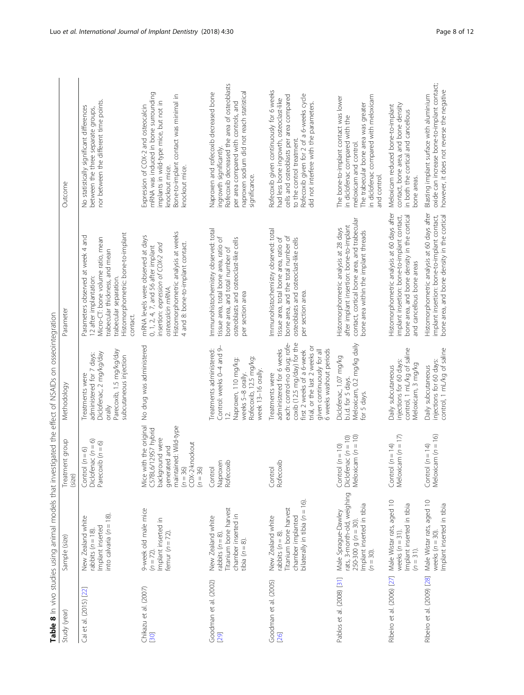| $\overline{)}$                                      |
|-----------------------------------------------------|
|                                                     |
|                                                     |
| $\ddot{\phantom{a}}$                                |
|                                                     |
|                                                     |
| ١                                                   |
|                                                     |
|                                                     |
| ι                                                   |
|                                                     |
| I                                                   |
|                                                     |
| )                                                   |
|                                                     |
| りり                                                  |
|                                                     |
| j                                                   |
|                                                     |
|                                                     |
|                                                     |
| うりょく                                                |
| I                                                   |
| ֖֖֖֖֖֖֖֖֖֖֖֚֚֚֚֚֚֚֚֚֚֚֚֚֚֚֚֚֚֚֚֬֝<br>$\mathfrak{g}$ |
|                                                     |
| $\ddot{\phantom{a}}$                                |
| $\ddot{\phantom{a}}$                                |
|                                                     |
| i                                                   |
|                                                     |
|                                                     |
|                                                     |
|                                                     |
|                                                     |
|                                                     |
| j                                                   |
| i                                                   |
|                                                     |
| l                                                   |
| $\mathbf{r}$                                        |
| ١                                                   |
|                                                     |
|                                                     |
| )<br>5                                              |
|                                                     |
|                                                     |
|                                                     |
|                                                     |
|                                                     |
|                                                     |
|                                                     |
| c                                                   |
| ı                                                   |
|                                                     |
|                                                     |
| ī<br>ţ<br>ľ                                         |

<span id="page-7-0"></span>

| Study (year)                  | Sample (size)                                                                                                                      | Treatment group<br>(size)                                                                                                                                | Methodology                                                                                                                                                                                                                       | Parameter                                                                                                                                                                                                       | Outcome                                                                                                                                                                                                                                           |
|-------------------------------|------------------------------------------------------------------------------------------------------------------------------------|----------------------------------------------------------------------------------------------------------------------------------------------------------|-----------------------------------------------------------------------------------------------------------------------------------------------------------------------------------------------------------------------------------|-----------------------------------------------------------------------------------------------------------------------------------------------------------------------------------------------------------------|---------------------------------------------------------------------------------------------------------------------------------------------------------------------------------------------------------------------------------------------------|
| Cai et al. (2015) [22]        | into calvaria ( $n = 18$ ).<br>New Zealand white<br>Implant inserted<br>rabbits $(n = 18)$                                         | Diclofenac $(n = 6)$<br>Parecoxib $(n = 6)$<br>Control $(n = 6)$                                                                                         | Parecoxib, 1.5 mg/kg/day<br>Diclofenac, 2 mg/kg/day<br>administered for 7 days:<br>subcutaneous injection<br>Treatments were<br>orally                                                                                            | Histomorphometric: bone-to-implant<br>Parameters observed at week 4 and<br>Micro-CT: bone volume ratio, mean<br>trabecular thickness, and mean<br>12 after implantation<br>trabecular separation<br>contact.    | nor between the different time points.<br>No statistically significant differences<br>between the three separate groups,                                                                                                                          |
| Chikazu et al. (2007)<br>[30] | 9-week old male mice<br>Implant inserted in<br>femur ( $n = 72$ ).<br>$(n = 72)$                                                   | Mice with the original<br>maintained: Wild-type<br>C57BL6/129S7 hybrid<br>background were<br>COX-2-knockout<br>generated and<br>$(n = 36)$<br>$(n = 36)$ | No drug was administered                                                                                                                                                                                                          | Histomorphometric analysis at weeks<br>mRNA levels were observed at days<br>4 and 8: bone-to-implant contact.<br>insertion: expression of COX-2 and<br>0, 1, 2, 4, 7, and 56 after implant<br>osteocalcin mRNA. | mRNA was induced in bone surrounding<br>Bone-to-implant contact was minimal in<br>implants in wild-type mice, but not in<br>Expression of COX-2 and osteocalcin<br>knockout mice.<br>knockout mice.                                               |
| Goodman et al. (2002)<br>29   | Titanium bone harvest<br>chamber inserted in<br>New Zealand white<br>rabbits $(n = 8)$ .<br>tibia ( $n = 8$ ).                     | Naproxen<br>Rofecoxib<br>Control                                                                                                                         | Control: weeks 0-4 and 9-<br>Treatments administered:<br>Rofecoxib, 12.5 mg/kg:<br>Naproxen, 110 mg/kg:<br>week 13-16 orally.<br>weeks 5-8 orally.                                                                                | Immunohistochemistry observed: total<br>tissue area, total bone area, ratio of<br>osteoblasts and osteoclast-like cells<br>bone area, and total number of<br>per section area                                   | Rofecoxib decreased the area of osteoblasts<br>naproxen sodium did not reach statistical<br>Naproxen and rofecoxib decreased bone<br>per area compared with controls, and<br>ingrowth significantly<br>significance.                              |
| Goodman et al. (2005)<br>26   | bilaterally in tibia $(n = 16)$ .<br><b>Titanium bone harvest</b><br>New Zealand white<br>chamber implanted<br>rabbits $(n = 8)$ . | Rofecoxib<br>Control                                                                                                                                     | coxib (12.5 mg/day) for the<br>each: control-no drug; rofe-<br>trial, or the last 2 weeks or<br>6 weeks washout periods<br>given continuously for all<br>administered for 6 weeks<br>first 2 weeks of a 6-week<br>Treatments were | Immunohistochemistry observed: total<br>bone area, and the total number of<br>osteoblasts and osteoclast-like cells<br>tissue area, total bone area, ratio of<br>per section area                               | Rofecoxib given continuously for 6 weeks<br>Rofecoxib given for 2 of a 6-weeks cycle<br>cells and osteoblasts per area compared<br>had less bone ingrowth, osteoclast-like<br>did not interfere with the parameters.<br>to the control treatment. |
| Pablos et al. (2008) [31]     | rats, 3-month-old, weighing<br>Implant inserted in tibia<br>Male Sprague-Dawley<br>$250-300$ g ( $n = 30$ ).<br>$(n = 30)$ .       | Meloxicam $(n = 10)$<br>Diclofenac $(n = 10)$<br>Control $(n = 10)$                                                                                      | Meloxicam, 0.2 mg/kg daily<br>Diclofenac, 1.07 mg/kg<br>b.i.d. for 5 days.<br>for 5 days.                                                                                                                                         | contact, cortical bone area, and trabecular<br>after implant insertion: bone-to-implant<br>Histomorphometric analysis at 28 days<br>bone area within the implant threads                                        | in diclofenac compared with meloxicam<br>The bone-to-implant contact was lower<br>The trabecular bone area was greater<br>in diclofenac compared with the<br>meloxicam and control.<br>and control.                                               |
| Ribeiro et al. (2006) [27]    | Male Wistar rats, aged 10<br>Implant inserted in tibia<br>weeks $(n = 31)$<br>$(n = 31)$ .                                         | Meloxicam $(n = 17)$<br>Control $(n = 14)$                                                                                                               | control, 1 mL/kg of saline<br>injections for 60 days:<br>Meloxicam, 3 mg/kg<br>Daily subcutaneous                                                                                                                                 | Histomorphometric analysis at 60 days after<br>bone area, and bone density in the cortical<br>implant insertion: bone-to-implant contact,<br>and cancellous bone areas                                          | contact, bone area, and bone density<br>Meloxicam reduced bone-to-implant<br>in both the cortical and cancellous<br>bone areas.                                                                                                                   |
| Ribeiro et al. (2009) [28]    | Male Wistar rats, aged 10<br>mplant inserted in tibia<br>$wee$ ks ( $n = 30$ )                                                     | Meloxicam $(n = 16)$<br>Control $(n = 14)$                                                                                                               | control, 1 mL/kg of saline<br>injections for 60 days:<br>Daily subcutaneous                                                                                                                                                       | Histomorphometric analysis at 60 days after<br>bone area, and bone density in the cortical<br>implant insertion: bone-to-implant contact,                                                                       | oxide can increase bone-to-implant contact;<br>however, it does not reverse the negative<br>Blasting implant surface with aluminium                                                                                                               |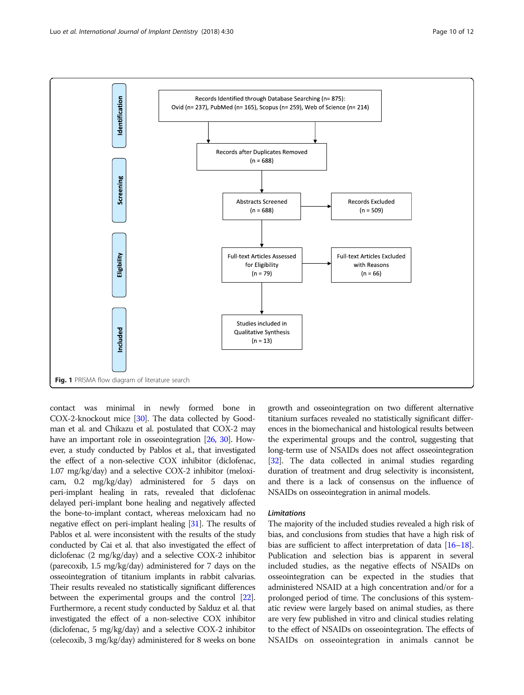<span id="page-9-0"></span>

contact was minimal in newly formed bone in COX-2-knockout mice [\[30](#page-11-0)]. The data collected by Goodman et al. and Chikazu et al. postulated that COX-2 may have an important role in osseointegration [[26](#page-11-0), [30](#page-11-0)]. However, a study conducted by Pablos et al., that investigated the effect of a non-selective COX inhibitor (diclofenac, 1.07 mg/kg/day) and a selective COX-2 inhibitor (meloxicam, 0.2 mg/kg/day) administered for 5 days on peri-implant healing in rats, revealed that diclofenac delayed peri-implant bone healing and negatively affected the bone-to-implant contact, whereas meloxicam had no negative effect on peri-implant healing [\[31](#page-11-0)]. The results of Pablos et al. were inconsistent with the results of the study conducted by Cai et al. that also investigated the effect of diclofenac (2 mg/kg/day) and a selective COX-2 inhibitor (parecoxib, 1.5 mg/kg/day) administered for 7 days on the osseointegration of titanium implants in rabbit calvarias. Their results revealed no statistically significant differences between the experimental groups and the control [\[22](#page-11-0)]. Furthermore, a recent study conducted by Salduz et al. that investigated the effect of a non-selective COX inhibitor (diclofenac, 5 mg/kg/day) and a selective COX-2 inhibitor (celecoxib, 3 mg/kg/day) administered for 8 weeks on bone

growth and osseointegration on two different alternative titanium surfaces revealed no statistically significant differences in the biomechanical and histological results between the experimental groups and the control, suggesting that long-term use of NSAIDs does not affect osseointegration [[32](#page-11-0)]. The data collected in animal studies regarding duration of treatment and drug selectivity is inconsistent, and there is a lack of consensus on the influence of NSAIDs on osseointegration in animal models.

#### Limitations

The majority of the included studies revealed a high risk of bias, and conclusions from studies that have a high risk of bias are sufficient to affect interpretation of data [[16](#page-10-0)–[18](#page-10-0)]. Publication and selection bias is apparent in several included studies, as the negative effects of NSAIDs on osseointegration can be expected in the studies that administered NSAID at a high concentration and/or for a prolonged period of time. The conclusions of this systematic review were largely based on animal studies, as there are very few published in vitro and clinical studies relating to the effect of NSAIDs on osseointegration. The effects of NSAIDs on osseointegration in animals cannot be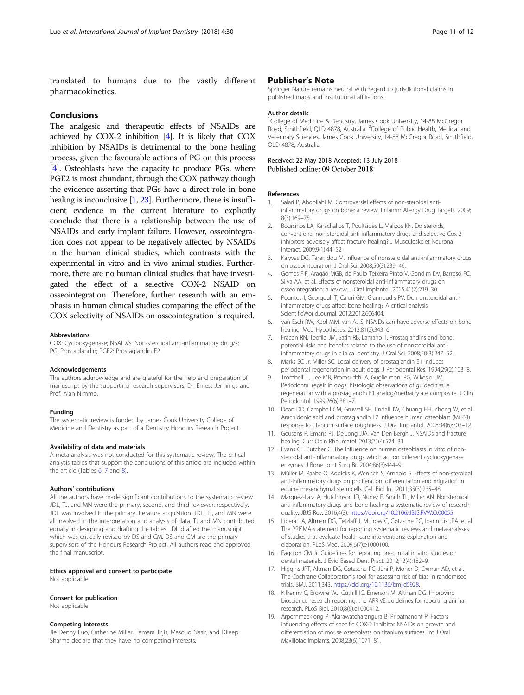<span id="page-10-0"></span>translated to humans due to the vastly different pharmacokinetics.

The analgesic and therapeutic effects of NSAIDs are achieved by COX-2 inhibition  $[4]$ . It is likely that COX inhibition by NSAIDs is detrimental to the bone healing process, given the favourable actions of PG on this process [4]. Osteoblasts have the capacity to produce PGs, where PGE2 is most abundant, through the COX pathway though the evidence asserting that PGs have a direct role in bone healing is inconclusive [1, [23\]](#page-11-0). Furthermore, there is insufficient evidence in the current literature to explicitly conclude that there is a relationship between the use of NSAIDs and early implant failure. However, osseointegration does not appear to be negatively affected by NSAIDs in the human clinical studies, which contrasts with the experimental in vitro and in vivo animal studies. Furthermore, there are no human clinical studies that have investigated the effect of a selective COX-2 NSAID on osseointegration. Therefore, further research with an emphasis in human clinical studies comparing the effect of the COX selectivity of NSAIDs on osseointegration is required.

#### Abbreviations

COX: Cyclooxygenase; NSAID/s: Non-steroidal anti-inflammatory drug/s; PG: Prostaglandin; PGE2: Prostaglandin E2

#### Acknowledgements

The authors acknowledge and are grateful for the help and preparation of manuscript by the supporting research supervisors: Dr. Ernest Jennings and Prof. Alan Nimmo.

#### Funding

The systematic review is funded by James Cook University College of Medicine and Dentistry as part of a Dentistry Honours Research Project.

#### Availability of data and materials

A meta-analysis was not conducted for this systematic review. The critical analysis tables that support the conclusions of this article are included within the article (Tables [6](#page-5-0), [7](#page-6-0) and [8](#page-7-0)).

#### Authors' contributions

All the authors have made significant contributions to the systematic review. JDL, TJ, and MN were the primary, second, and third reviewer, respectively. JDL was involved in the primary literature acquisition. JDL, TJ, and MN were all involved in the interpretation and analysis of data. TJ and MN contributed equally in designing and drafting the tables. JDL drafted the manuscript which was critically revised by DS and CM. DS and CM are the primary supervisors of the Honours Research Project. All authors read and approved the final manuscript.

#### Ethics approval and consent to participate

Not applicable

#### Consent for publication

Not applicable

#### Competing interests

Jie Denny Luo, Catherine Miller, Tamara Jirjis, Masoud Nasir, and Dileep Sharma declare that they have no competing interests.

#### Publisher's Note

Springer Nature remains neutral with regard to jurisdictional claims in published maps and institutional affiliations.

#### Author details

<sup>1</sup>College of Medicine & Dentistry, James Cook University, 14-88 McGregor Road, Smithfield, QLD 4878, Australia. <sup>2</sup>College of Public Health, Medical and Veterinary Sciences, James Cook University, 14-88 McGregor Road, Smithfield, QLD 4878, Australia.

#### Received: 22 May 2018 Accepted: 13 July 2018 Published online: 09 October 2018

#### References

- 1. Salari P, Abdollahi M. Controversial effects of non-steroidal antiinflammatory drugs on bone: a review. Inflamm Allergy Drug Targets. 2009; 8(3):169–75.
- 2. Boursinos LA, Karachalios T, Poultsides L, Malizos KN. Do steroids, conventional non-steroidal anti-inflammatory drugs and selective Cox-2 inhibitors adversely affect fracture healing? J Musculoskelet Neuronal Interact. 2009;9(1):44–52.
- 3. Kalyvas DG, Tarenidou M. Influence of nonsteroidal anti-inflammatory drugs on osseointegration. J Oral Sci. 2008;50(3):239–46.
- 4. Gomes FIF, Aragão MGB, de Paulo Teixeira Pinto V, Gondim DV, Barroso FC, Silva AA, et al. Effects of nonsteroidal anti-inflammatory drugs on osseointegration: a review. J Oral Implantol. 2015;41(2):219–30.
- 5. Pountos I, Georgouli T, Calori GM, Giannoudis PV. Do nonsteroidal antiinflammatory drugs affect bone healing? A critical analysis. ScientificWorldJournal. 2012;2012:606404.
- 6. van Esch RW, Kool MM, van As S. NSAIDs can have adverse effects on bone healing. Med Hypotheses. 2013;81(2):343–6.
- 7. Fracon RN, Teofilo JM, Satin RB, Lamano T. Prostaglandins and bone: potential risks and benefits related to the use of nonsteroidal antiinflammatory drugs in clinical dentistry. J Oral Sci. 2008;50(3):247–52.
- 8. Marks SC Jr, Miller SC. Local delivery of prostaglandin E1 induces periodontal regeneration in adult dogs. J Periodontal Res. 1994;29(2):103–8.
- 9. Trombelli L, Lee MB, Promsudthi A, Guglielmoni PG, Wikesjo UM. Periodontal repair in dogs: histologic observations of guided tissue regeneration with a prostaglandin E1 analog/methacrylate composite. J Clin Periodontol. 1999;26(6):381–7.
- 10. Dean DD, Campbell CM, Gruwell SF, Tindall JW, Chuang HH, Zhong W, et al. Arachidonic acid and prostaglandin E2 influence human osteoblast (MG63) response to titanium surface roughness. J Oral Implantol. 2008;34(6):303–12.
- 11. Geusens P, Emans PJ, De Jong JJA, Van Den Bergh J. NSAIDs and fracture healing. Curr Opin Rheumatol. 2013;25(4):524–31.
- 12. Evans CE, Butcher C. The influence on human osteoblasts in vitro of nonsteroidal anti-inflammatory drugs which act on different cyclooxygenase enzymes. J Bone Joint Surg Br. 2004;86(3):444–9.
- 13. Müller M, Raabe O, Addicks K, Wenisch S, Arnhold S. Effects of non-steroidal anti-inflammatory drugs on proliferation, differentiation and migration in equine mesenchymal stem cells. Cell Biol Int. 2011;35(3):235–48.
- 14. Marquez-Lara A, Hutchinson ID, Nuñez F, Smith TL, Miller AN. Nonsteroidal anti-inflammatory drugs and bone-healing: a systematic review of research quality. JBJS Rev. 2016;4(3). <https://doi.org/10.2106/JBJS.RVW.O.00055>.
- 15. Liberati A, Altman DG, Tetzlaff J, Mulrow C, Gøtzsche PC, Ioannidis JPA, et al. The PRISMA statement for reporting systematic reviews and meta-analyses of studies that evaluate health care interventions: explanation and elaboration. PLoS Med. 2009;6(7):e1000100.
- 16. Faggion CM Jr. Guidelines for reporting pre-clinical in vitro studies on dental materials. J Evid Based Dent Pract. 2012;12(4):182–9.
- 17. Higgins JPT, Altman DG, Gøtzsche PC, Jüni P, Moher D, Oxman AD, et al. The Cochrane Collaboration's tool for assessing risk of bias in randomised trials. BMJ. 2011;343. <https://doi.org/10.1136/bmj.d5928>.
- 18. Kilkenny C, Browne WJ, Cuthill IC, Emerson M, Altman DG. Improving bioscience research reporting: the ARRIVE guidelines for reporting animal research. PLoS Biol. 2010;8(6):e1000412.
- 19. Arpornmaeklong P, Akarawatcharangura B, Pripatnanont P. Factors influencing effects of specific COX-2 inhibitor NSAIDs on growth and differentiation of mouse osteoblasts on titanium surfaces. Int J Oral Maxillofac Implants. 2008;23(6):1071–81.